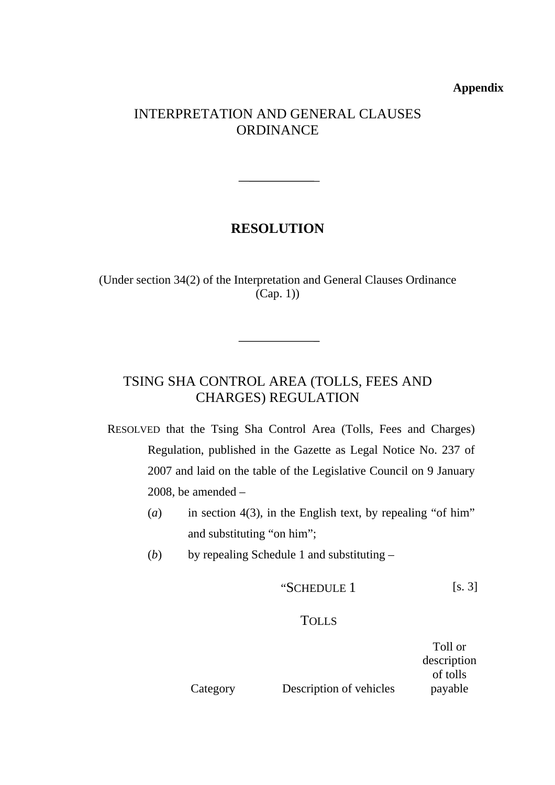#### **Appendix**

#### INTERPRETATION AND GENERAL CLAUSES **ORDINANCE**

## **RESOLUTION**

(Under section 34(2) of the Interpretation and General Clauses Ordinance (Cap. 1))

## TSING SHA CONTROL AREA (TOLLS, FEES AND CHARGES) REGULATION

RESOLVED that the Tsing Sha Control Area (Tolls, Fees and Charges) Regulation, published in the Gazette as Legal Notice No. 237 of 2007 and laid on the table of the Legislative Council on 9 January 2008, be amended  $-$ 

- (*a*) in section 4(3), in the English text, by repealing "of him" and substituting "on him";
- (*b*) by repealing Schedule 1 and substituting –

$$
•SCHEDULE 1 [s. 3]
$$

#### **TOLLS**

Category Description of vehicles Toll or description of tolls payable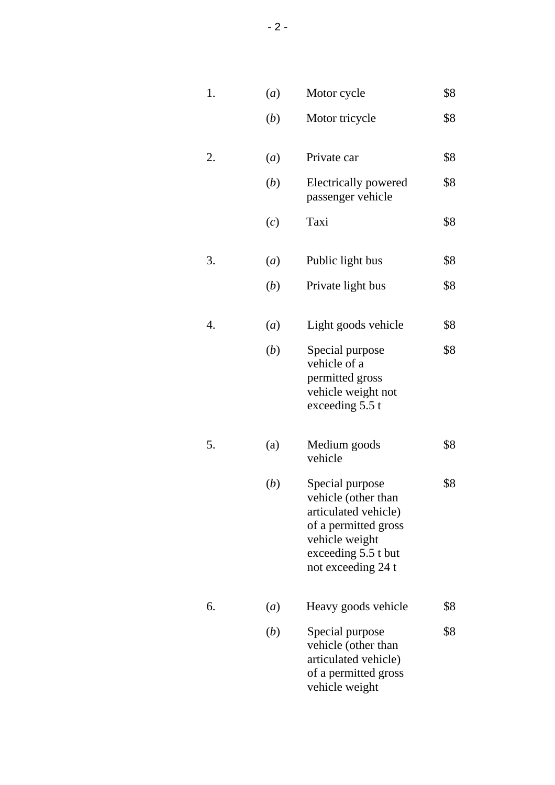| 1. | $\left(a\right)$ | Motor cycle                                                                                                                                           | \$8 |
|----|------------------|-------------------------------------------------------------------------------------------------------------------------------------------------------|-----|
|    | ( <i>b</i> )     | Motor tricycle                                                                                                                                        | \$8 |
| 2. | (a)              | Private car                                                                                                                                           | \$8 |
|    | (b)              | Electrically powered<br>passenger vehicle                                                                                                             | \$8 |
|    | (c)              | Taxi                                                                                                                                                  | \$8 |
| 3. | $\left(a\right)$ | Public light bus                                                                                                                                      | \$8 |
|    | ( <i>b</i> )     | Private light bus                                                                                                                                     | \$8 |
| 4. | $\left(a\right)$ | Light goods vehicle                                                                                                                                   | \$8 |
|    | (b)              | Special purpose<br>vehicle of a<br>permitted gross<br>vehicle weight not<br>exceeding 5.5 t                                                           | \$8 |
| 5. | (a)              | Medium goods<br>vehicle                                                                                                                               | \$8 |
|    | (b)              | Special purpose<br>vehicle (other than<br>articulated vehicle)<br>of a permitted gross<br>vehicle weight<br>exceeding 5.5 t but<br>not exceeding 24 t | \$8 |
| 6. | $\left(a\right)$ | Heavy goods vehicle                                                                                                                                   | \$8 |
|    | ( <i>b</i> )     | Special purpose<br>vehicle (other than<br>articulated vehicle)<br>of a permitted gross<br>vehicle weight                                              | \$8 |